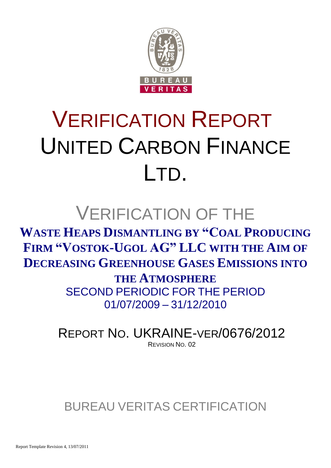

# VERIFICATION REPORT UNITED CARBON FINANCE LTD.

## VERIFICATION OF THE

**WASTE HEAPS DISMANTLING BY "COAL PRODUCING FIRM "VOSTOK-UGOL AG" LLC WITH THE AIM OF DECREASING GREENHOUSE GASES EMISSIONS INTO** 

> **THE ATMOSPHERE** SECOND PERIODIC FOR THE PERIOD 01/07/2009 – 31/12/2010

REPORT NO. UKRAINE-VER/0676/2012 REVISION NO. 02

BUREAU VERITAS CERTIFICATION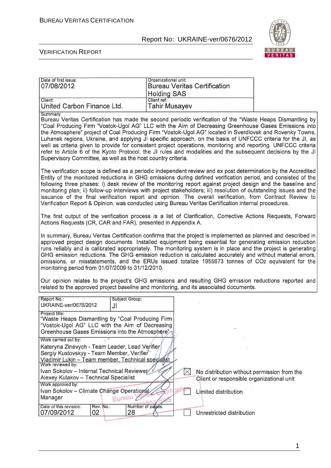

#### VERIFICATION REPORT

| Date of first issue:<br>07/08/2012                                                                                                                                                                                                                                                                                                                    | Organizational unit:<br><b>Bureau Veritas Certification</b><br><b>Holding SAS</b>                                                                                                                                                                                                                                                                                                                                                                                                                                                                                                                                                                                                       |  |  |  |  |  |
|-------------------------------------------------------------------------------------------------------------------------------------------------------------------------------------------------------------------------------------------------------------------------------------------------------------------------------------------------------|-----------------------------------------------------------------------------------------------------------------------------------------------------------------------------------------------------------------------------------------------------------------------------------------------------------------------------------------------------------------------------------------------------------------------------------------------------------------------------------------------------------------------------------------------------------------------------------------------------------------------------------------------------------------------------------------|--|--|--|--|--|
| Client:<br>United Carbon Finance Ltd.                                                                                                                                                                                                                                                                                                                 | Client ref.:<br><b>Tahir Musayev</b>                                                                                                                                                                                                                                                                                                                                                                                                                                                                                                                                                                                                                                                    |  |  |  |  |  |
| Summary:<br>Supervisory Committee, as well as the host country criteria.                                                                                                                                                                                                                                                                              | Bureau Veritas Certification has made the second periodic verification of the "Waste Heaps Dismantling by<br>"Coal Producing Firm "Vostok-Ugol AG" LLC with the Aim of Decreasing Greenhouse Gases Emissions into<br>the Atmosphere" project of Coal Producing Firm "Vostok-Ugol AG" located in Sverdlovsk and Rovenky Towns,<br>Luhansk regions, Ukraine, and applying JI specific approach, on the basis of UNFCCC criteria for the JI, as<br>well as criteria given to provide for consistent project operations, monitoring and reporting. UNFCCC criteria<br>refer to Article 6 of the Kyoto Protocol, the JI rules and modalities and the subsequent decisions by the JI          |  |  |  |  |  |
|                                                                                                                                                                                                                                                                                                                                                       | The verification scope is defined as a periodic independent review and ex post determination by the Accredited<br>Entity of the monitored reductions in GHG emissions during defined verification period, and consisted of the<br>following three phases: i) desk review of the monitoring report against project design and the baseline and<br>monitoring plan; ii) follow-up interviews with project stakeholders; iii) resolution of outstanding issues and the<br>issuance of the final verification report and opinion. The overall verification, from Contract Review to<br>Verification Report & Opinion, was conducted using Bureau Veritas Certification internal procedures. |  |  |  |  |  |
| Actions Requests (CR, CAR and FAR), presented in Appendix A.                                                                                                                                                                                                                                                                                          | The first output of the verification process is a list of Clarification, Corrective Actions Requests, Forward                                                                                                                                                                                                                                                                                                                                                                                                                                                                                                                                                                           |  |  |  |  |  |
|                                                                                                                                                                                                                                                                                                                                                       | In summary, Bureau Veritas Certification confirms that the project is implemented as planned and described in<br>approved project design documents. Installed equipment being essential for generating emission reduction<br>runs reliably and is calibrated appropriately. The monitoring system is in place and the project is generating<br>GHG emission reductions. The GHG emission reduction is calculated accurately and without material errors,<br>omissions, or misstatements, and the ERUs issued totalize 1955673 tonnes of CO2 equivalent for the<br>monitoring period from 01/07/2009 to 31/12/2010.                                                                      |  |  |  |  |  |
|                                                                                                                                                                                                                                                                                                                                                       | Our opinion relates to the project's GHG emissions and resulting GHG emission reductions reported and<br>related to the approved project baseline and monitoring, and its associated documents.                                                                                                                                                                                                                                                                                                                                                                                                                                                                                         |  |  |  |  |  |
| Subject Group:<br>Report No.:<br>UKRAINE-ver/0676/2012<br>JI                                                                                                                                                                                                                                                                                          |                                                                                                                                                                                                                                                                                                                                                                                                                                                                                                                                                                                                                                                                                         |  |  |  |  |  |
| Project title:<br>"Waste Heaps Dismantling by "Coal Producing Firm<br>"Vostok-Ugol AG" LLC with the Aim of Decreasing<br>Greenhouse Gases Emissions into the Atmosphere"<br>Work carried out by:<br>Kateryna Zinevych - Team Leader, Lead Verifier<br>Sergiy Kustovskyy - Team Member, Verifier<br>Vladimir Lukin - Team member, Technical specialist |                                                                                                                                                                                                                                                                                                                                                                                                                                                                                                                                                                                                                                                                                         |  |  |  |  |  |
| Work reviewed by:<br>Ivan Sokolov - Internal Technical Reviewer<br>Alexey Kulakov - Technical Specialist                                                                                                                                                                                                                                              | $\times$<br>No distribution without permission from the<br>Client or responsible organizational unit                                                                                                                                                                                                                                                                                                                                                                                                                                                                                                                                                                                    |  |  |  |  |  |
| Work approved by:<br>Ivan Sokolov - Climate Change Operational<br>Bureau<br>Manager                                                                                                                                                                                                                                                                   | Limited distribution                                                                                                                                                                                                                                                                                                                                                                                                                                                                                                                                                                                                                                                                    |  |  |  |  |  |
| Date of this revision:<br>Rev. No.:<br>02<br>07/09/2012<br>28                                                                                                                                                                                                                                                                                         | Number of pages:<br>Unrestricted distribution                                                                                                                                                                                                                                                                                                                                                                                                                                                                                                                                                                                                                                           |  |  |  |  |  |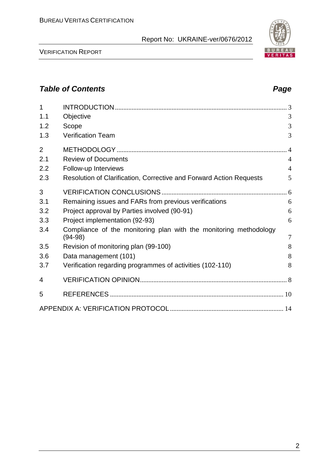VERIFICATION REPORT

| 1<br>1.1       | Objective                                                                      | 3              |
|----------------|--------------------------------------------------------------------------------|----------------|
| 1.2            | Scope                                                                          | 3              |
| 1.3            | <b>Verification Team</b>                                                       | 3              |
| $\overline{2}$ |                                                                                | $\overline{4}$ |
| 2.1            | <b>Review of Documents</b>                                                     | $\overline{4}$ |
| 2.2            | Follow-up Interviews                                                           | $\overline{4}$ |
| 2.3            | Resolution of Clarification, Corrective and Forward Action Requests            | 5              |
| 3              |                                                                                |                |
| 3.1            | Remaining issues and FARs from previous verifications                          | 6              |
| 3.2            | Project approval by Parties involved (90-91)                                   | 6              |
| 3.3            | Project implementation (92-93)                                                 | 6              |
| 3.4            | Compliance of the monitoring plan with the monitoring methodology<br>$(94-98)$ | $\overline{7}$ |
| 3.5            | Revision of monitoring plan (99-100)                                           | 8              |
| 3.6            | Data management (101)                                                          | 8              |
| 3.7            | Verification regarding programmes of activities (102-110)                      | 8              |
| 4              |                                                                                |                |
| 5              |                                                                                |                |
|                |                                                                                |                |

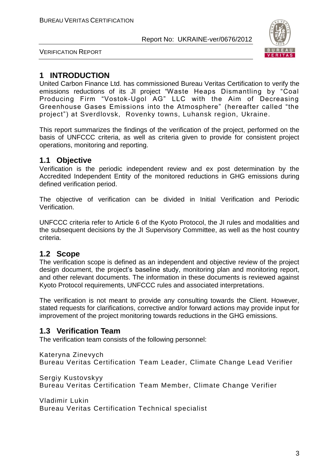

VERIFICATION REPORT

#### **1 INTRODUCTION**

United Carbon Finance Ltd. has commissioned Bureau Veritas Certification to verify the emissions reductions of its JI project "Waste Heaps Dismantling by "Coal Producing Firm "Vostok-Ugol AG" LLC with the Aim of Decreasing Greenhouse Gases Emissions into the Atmosphere" (hereafter called "the project") at Sverdlovsk, Rovenky towns, Luhansk region, Ukraine.

This report summarizes the findings of the verification of the project, performed on the basis of UNFCCC criteria, as well as criteria given to provide for consistent project operations, monitoring and reporting.

#### **1.1 Objective**

Verification is the periodic independent review and ex post determination by the Accredited Independent Entity of the monitored reductions in GHG emissions during defined verification period.

The objective of verification can be divided in Initial Verification and Periodic Verification.

UNFCCC criteria refer to Article 6 of the Kyoto Protocol, the JI rules and modalities and the subsequent decisions by the JI Supervisory Committee, as well as the host country criteria.

#### **1.2 Scope**

The verification scope is defined as an independent and objective review of the project design document, the project's baseline study, monitoring plan and monitoring report, and other relevant documents. The information in these documents is reviewed against Kyoto Protocol requirements, UNFCCC rules and associated interpretations.

The verification is not meant to provide any consulting towards the Client. However, stated requests for clarifications, corrective and/or forward actions may provide input for improvement of the project monitoring towards reductions in the GHG emissions.

#### **1.3 Verification Team**

The verification team consists of the following personnel:

Kateryna Zinevych Bureau Veritas Certification Team Leader, Climate Change Lead Verifier

Sergiy Kustovskyy Bureau Veritas Certification Team Member, Climate Change Verifier

Vladimir Lukin Bureau Veritas Certification Technical specialist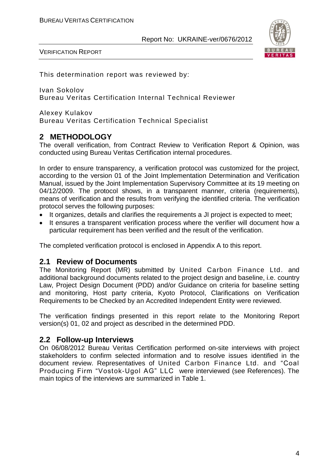

This determination report was reviewed by:

Ivan Sokolov Bureau Veritas Certification Internal Technical Reviewer

Alexey Kulakov Bureau Veritas Certification Technical Specialist

#### **2 METHODOLOGY**

The overall verification, from Contract Review to Verification Report & Opinion, was conducted using Bureau Veritas Certification internal procedures.

In order to ensure transparency, a verification protocol was customized for the project, according to the version 01 of the Joint Implementation Determination and Verification Manual, issued by the Joint Implementation Supervisory Committee at its 19 meeting on 04/12/2009. The protocol shows, in a transparent manner, criteria (requirements), means of verification and the results from verifying the identified criteria. The verification protocol serves the following purposes:

- It organizes, details and clarifies the requirements a JI project is expected to meet;
- It ensures a transparent verification process where the verifier will document how a particular requirement has been verified and the result of the verification.

The completed verification protocol is enclosed in Appendix A to this report.

#### **2.1 Review of Documents**

The Monitoring Report (MR) submitted by United Carbon Finance Ltd. and additional background documents related to the project design and baseline, i.e. country Law, Project Design Document (PDD) and/or Guidance on criteria for baseline setting and monitoring, Host party criteria, Kyoto Protocol, Clarifications on Verification Requirements to be Checked by an Accredited Independent Entity were reviewed.

The verification findings presented in this report relate to the Monitoring Report version(s) 01, 02 and project as described in the determined PDD.

#### **2.2 Follow-up Interviews**

On 06/08/2012 Bureau Veritas Certification performed on-site interviews with project stakeholders to confirm selected information and to resolve issues identified in the document review. Representatives of United Carbon Finance Ltd. and "Coal Producing Firm "Vostok-Ugol AG" LLC were interviewed (see References). The main topics of the interviews are summarized in Table 1.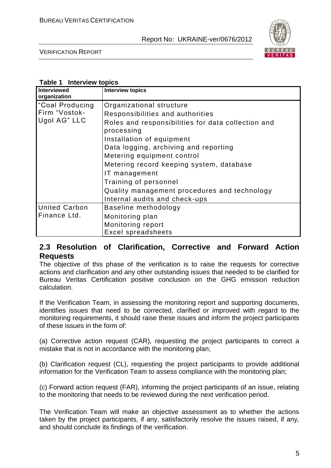

VERIFICATION REPORT

#### **Table 1 Interview topics**

| Interviewed<br>organization                                  | <b>Interview topics</b>                                                                                                                                                                                                                                                                           |
|--------------------------------------------------------------|---------------------------------------------------------------------------------------------------------------------------------------------------------------------------------------------------------------------------------------------------------------------------------------------------|
| Coal Producing <sup>1</sup><br>Firm "Vostok-<br>Ugol AG" LLC | Organizational structure<br>Responsibilities and authorities<br>Roles and responsibilities for data collection and<br>processing<br>Installation of equipment<br>Data logging, archiving and reporting<br>Metering equipment control<br>Metering record keeping system, database<br>IT management |
| <b>United Carbon</b>                                         | Training of personnel<br>Quality management procedures and technology<br>Internal audits and check-ups<br>Baseline methodology                                                                                                                                                                    |
| Finance Ltd.                                                 | Monitoring plan<br>Monitoring report<br><b>Excel spreadsheets</b>                                                                                                                                                                                                                                 |

#### **2.3 Resolution of Clarification, Corrective and Forward Action Requests**

The objective of this phase of the verification is to raise the requests for corrective actions and clarification and any other outstanding issues that needed to be clarified for Bureau Veritas Certification positive conclusion on the GHG emission reduction calculation.

If the Verification Team, in assessing the monitoring report and supporting documents, identifies issues that need to be corrected, clarified or improved with regard to the monitoring requirements, it should raise these issues and inform the project participants of these issues in the form of:

(a) Corrective action request (CAR), requesting the project participants to correct a mistake that is not in accordance with the monitoring plan;

(b) Clarification request (CL), requesting the project participants to provide additional information for the Verification Team to assess compliance with the monitoring plan;

(c) Forward action request (FAR), informing the project participants of an issue, relating to the monitoring that needs to be reviewed during the next verification period.

The Verification Team will make an objective assessment as to whether the actions taken by the project participants, if any, satisfactorily resolve the issues raised, if any, and should conclude its findings of the verification.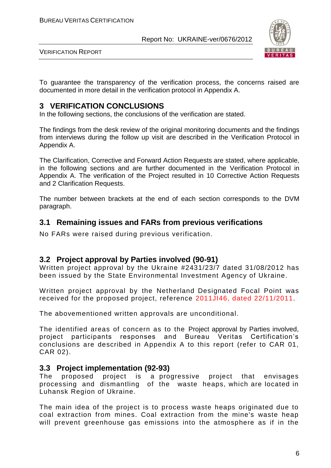

VERIFICATION REPORT

To guarantee the transparency of the verification process, the concerns raised are documented in more detail in the verification protocol in Appendix A.

#### **3 VERIFICATION CONCLUSIONS**

In the following sections, the conclusions of the verification are stated.

The findings from the desk review of the original monitoring documents and the findings from interviews during the follow up visit are described in the Verification Protocol in Appendix A.

The Clarification, Corrective and Forward Action Requests are stated, where applicable, in the following sections and are further documented in the Verification Protocol in Appendix A. The verification of the Project resulted in 10 Corrective Action Requests and 2 Clarification Requests.

The number between brackets at the end of each section corresponds to the DVM paragraph.

#### **3.1 Remaining issues and FARs from previous verifications**

No FARs were raised during previous verification.

#### **3.2 Project approval by Parties involved (90-91)**

Written project approval by the Ukraine #2431/23/7 dated 31/08/2012 has been issued by the State Environmental Investment Agency of Ukraine.

Written project approval by the Netherland Designated Focal Point was received for the proposed project, reference 2011JI46, dated 22/11/2011.

The abovementioned written approvals are unconditional.

The identified areas of concern as to the Project approval by Parties involved, project participants responses and Bureau Veritas Certification's conclusions are described in Appendix A to this report (refer to CAR 01, CAR 02).

#### **3.3 Project implementation (92-93)**

The proposed project is a progressive project that envisages processing and dismantling of the waste heaps, which are located in Luhansk Region of Ukraine.

The main idea of the project is to process waste heaps originated due to coal extraction from mines. Coal extraction from the mine's waste heap will prevent greenhouse gas emissions into the atmosphere as if in the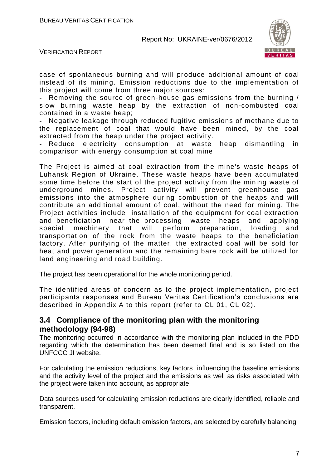

VERIFICATION REPORT

case of spontaneous burning and will produce additional amount of coal instead of its mining. Emission reductions due to the implementation of this project will come from three major sources:

- Removing the source of green-house gas emissions from the burning / slow burning waste heap by the extraction of non-combusted coal contained in a waste heap;

Negative leakage through reduced fugitive emissions of methane due to the replacement of coal that would have been mined, by the coal extracted from the heap under the project activity.

Reduce electricity consumption at waste heap dismantling in comparison with energy consumption at coal mine.

The Project is aimed at coal extraction from the mine's waste heaps of Luhansk Region of Ukraine. These waste heaps have been accumulated some time before the start of the project activity from the mining waste of underground mines. Project activity will prevent greenhouse gas emissions into the atmosphere during combustion of the heaps and will contribute an additional amount of coal, without the need for minin g. The Project activities include installation of the equipment for coal extraction and beneficiation near the processing waste heaps and applying special machinery that will perform preparation, loading and transportation of the rock from the waste heaps to the beneficiation factory. After purifying of the matter, the extracted coal will be sold for heat and power generation and the remaining bare rock will be utilized for land engineering and road building.

The project has been operational for the whole monitoring period.

The identified areas of concern as to the project implementation, project participants responses and Bureau Veritas Certification's conclusions are described in Appendix A to this report (refer to CL 01, CL 02).

#### **3.4 Compliance of the monitoring plan with the monitoring methodology (94-98)**

The monitoring occurred in accordance with the monitoring plan included in the PDD regarding which the determination has been deemed final and is so listed on the UNFCCC JI website.

For calculating the emission reductions, key factors influencing the baseline emissions and the activity level of the project and the emissions as well as risks associated with the project were taken into account, as appropriate.

Data sources used for calculating emission reductions are clearly identified, reliable and transparent.

Emission factors, including default emission factors, are selected by carefully balancing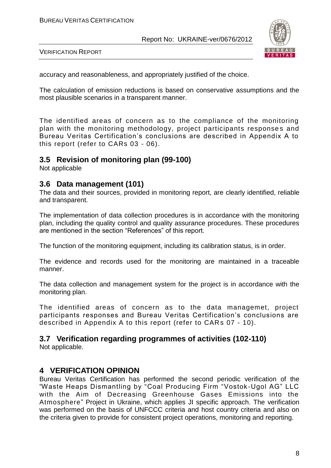

VERIFICATION REPORT

accuracy and reasonableness, and appropriately justified of the choice.

The calculation of emission reductions is based on conservative assumptions and the most plausible scenarios in a transparent manner.

The identified areas of concern as to the compliance of the monitoring plan with the monitoring methodology, project participants responses and Bureau Veritas Certification's conclusions are described in Appendix A to this report (refer to CARs 03 - 06).

#### **3.5 Revision of monitoring plan (99-100)**

Not applicable

#### **3.6 Data management (101)**

The data and their sources, provided in monitoring report, are clearly identified, reliable and transparent.

The implementation of data collection procedures is in accordance with the monitoring plan, including the quality control and quality assurance procedures. These procedures are mentioned in the section "References" of this report.

The function of the monitoring equipment, including its calibration status, is in order.

The evidence and records used for the monitoring are maintained in a traceable manner.

The data collection and management system for the project is in accordance with the monitoring plan.

The identified areas of concern as to the data managemet, project participants responses and Bureau Veritas Certification's conclusions are described in Appendix A to this report (refer to CARs 07 - 10).

#### **3.7 Verification regarding programmes of activities (102-110)**

Not applicable.

#### **4 VERIFICATION OPINION**

Bureau Veritas Certification has performed the second periodic verification of the "Waste Heaps Dismantling by "Coal Producing Firm "Vostok -Ugol AG" LLC with the Aim of Decreasing Greenhouse Gases Emissions into the Atmosphere" Project in Ukraine, which applies JI specific approach. The verification was performed on the basis of UNFCCC criteria and host country criteria and also on the criteria given to provide for consistent project operations, monitoring and reporting.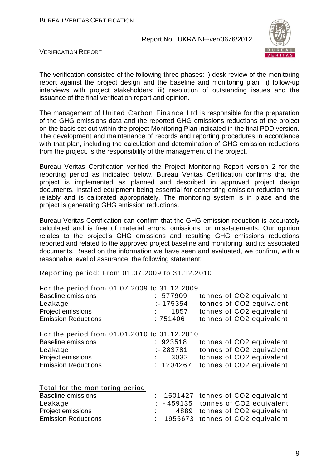

VERIFICATION REPORT

The verification consisted of the following three phases: i) desk review of the monitoring report against the project design and the baseline and monitoring plan; ii) follow-up interviews with project stakeholders; iii) resolution of outstanding issues and the issuance of the final verification report and opinion.

The management of United Carbon Finance Ltd is responsible for the preparation of the GHG emissions data and the reported GHG emissions reductions of the project on the basis set out within the project Monitoring Plan indicated in the final PDD version. The development and maintenance of records and reporting procedures in accordance with that plan, including the calculation and determination of GHG emission reductions from the project, is the responsibility of the management of the project.

Bureau Veritas Certification verified the Project Monitoring Report version 2 for the reporting period as indicated below. Bureau Veritas Certification confirms that the project is implemented as planned and described in approved project design documents. Installed equipment being essential for generating emission reduction runs reliably and is calibrated appropriately. The monitoring system is in place and the project is generating GHG emission reductions.

Bureau Veritas Certification can confirm that the GHG emission reduction is accurately calculated and is free of material errors, omissions, or misstatements. Our opinion relates to the project's GHG emissions and resulting GHG emissions reductions reported and related to the approved project baseline and monitoring, and its associated documents. Based on the information we have seen and evaluated, we confirm, with a reasonable level of assurance, the following statement:

Reporting period: From 01.07.2009 to 31.12.2010

| For the period from 01.07.2009 to 31.12.2009 |             |                          |
|----------------------------------------------|-------------|--------------------------|
| <b>Baseline emissions</b>                    | : 577909    | tonnes of CO2 equivalent |
| Leakage                                      | $: -175354$ | tonnes of CO2 equivalent |
| Project emissions                            | 1857        | tonnes of CO2 equivalent |
| <b>Emission Reductions</b>                   | :751406     | tonnes of CO2 equivalent |
| For the period from 01.01.2010 to 31.12.2010 |             |                          |
| <b>Baseline emissions</b>                    | : 923518    | tonnes of CO2 equivalent |
| Leakage                                      | $: -283781$ | tonnes of CO2 equivalent |
| Project emissions                            | 3032        | tonnes of CO2 equivalent |
| <b>Emission Reductions</b>                   | : 1204267   | tonnes of CO2 equivalent |
|                                              |             |                          |

|  | Total for the monitoring period |  |
|--|---------------------------------|--|
|  |                                 |  |

| <b>Baseline emissions</b>  |  | : 1501427 tonnes of CO2 equivalent   |
|----------------------------|--|--------------------------------------|
| Leakage                    |  | $: -459135$ tonnes of CO2 equivalent |
| <b>Project emissions</b>   |  | 4889 tonnes of CO2 equivalent        |
| <b>Emission Reductions</b> |  | : 1955673 tonnes of CO2 equivalent   |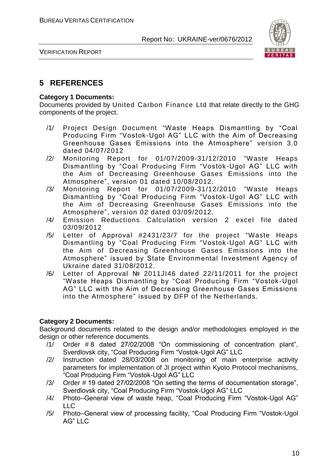

#### **5 REFERENCES**

#### **Category 1 Documents:**

Documents provided by United Carbon Finance Ltd that relate directly to the GHG components of the project.

- /1/ Project Design Document "Waste Heaps Dismantling by "Coal Producing Firm "Vostok-Ugol AG" LLC with the Aim of Decreasing Greenhouse Gases Emissions into the Atmosphere" version 3.0 dated 04/07/2012
- /2/ Monitoring Report for 01/07/2009-31/12/2010 "Waste Heaps Dismantling by "Coal Producing Firm "Vostok -Ugol AG" LLC with the Aim of Decreasing Greenhouse Gases Emissions into the Atmosphere", version 01 dated 10/08/2012.
- /3/ Monitoring Report for 01/07/2009-31/12/2010 "Waste Heaps Dismantling by "Coal Producing Firm "Vostok -Ugol AG" LLC with the Aim of Decreasing Greenhouse Gases Emissions into the Atmosphere", version 02 dated 03/09/2012.
- /4/ Emission Reductions Calculation version 2 excel file dated 03/09/2012
- /5/ Letter of Approval #2431/23/7 for the project "Waste Heaps Dismantling by "Coal Producing Firm "Vostok -Ugol AG" LLC with the Aim of Decreasing Greenhouse Gases Emissions into the Atmosphere" issued by State Environmental Investment Agency of Ukraine dated 31/08/2012.
- /6/ Letter of Approval № 2011JI46 dated 22/11/2011 for the project "Waste Heaps Dismantling by "Coal Producing Firm "Vostok -Ugol AG" LLC with the Aim of Decreasing Greenhouse Gases Emissions into the Atmosphere" issued by DFP of the Netherlands.

#### **Category 2 Documents:**

Background documents related to the design and/or methodologies employed in the design or other reference documents.

- /1/ Order # 8 dated 27/02/2008 "On commissioning of concentration plant", Sverdlovsk city, "Coal Producing Firm "Vostok-Ugol AG" LLC
- /2/ Instruction dated 28/03/2008 on monitoring of main enterprise activity parameters for implementation of JI project within Kyoto Protocol mechanisms, "Coal Producing Firm "Vostok-Ugol AG" LLC
- /3/ Order # 19 dated 27/02/2008 "On setting the terms of documentation storage", Sverdlovsk city, "Coal Producing Firm "Vostok-Ugol AG" LLC
- /4/ Photo–General view of waste heap, "Coal Producing Firm "Vostok-Ugol AG"  $\sqcup$  C
- /5/ Photo–General view of processing facility, "Coal Producing Firm "Vostok-Ugol AG" LLC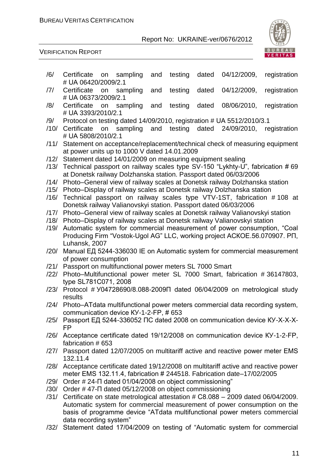

#### VERIFICATION REPORT

- /6/ Certificate on sampling and testing dated 04/12/2009, registration # UА 06420/2009/2.1
- /7/ Certificate on sampling and testing dated 04/12/2009, registration # UА 06373/2009/2.1
- /8/ Certificate on sampling and testing dated 08/06/2010, registration # UА 3393/2010/2.1
- /9/ Protocol on testing dated 14/09/2010, registration # UА 5512/2010/3.1
- /10/ Certificate on sampling and testing dated 24/09/2010, registration # UА 5808/2010/2.1
- /11/ Statement on acceptance/replacement/technical check of measuring equipment at power units up to 1000 V dated 14.01.2009
- /12/ Statement dated 14/01/2009 on measuring equipment sealing
- /13/ Technical passport on railway scales type SV-150 "Lykhty-U", fabrication # 69 at Donetsk railway Dolzhanska station. Passport dated 06/03/2006
- /14/ Photo–General view of railway scales at Donetsk railway Dolzhanska station
- /15/ Photo–Display of railway scales at Donetsk railway Dolzhanska station
- /16/ Technical passport on railway scales type VTV-1ST, fabrication # 108 at Donetsk railway Valianovskyi station. Passport dated 06/03/2006
- /17/ Photo–General view of railway scales at Donetsk railway Valianovskyi station
- /18/ Photo–Display of railway scales at Donetsk railway Valianovskyi station
- /19/ Automatic system for commercial measurement of power consumption, "Coal Producing Firm "Vostok-Ugol AG" LLC, working project АСКОЕ.56.070907. РП, Luhansk, 2007
- /20/ Manual ЕД 5244-336030 ІЕ on Automatic system for commercial measurement of power consumption
- /21/ Passport on multifunctional power meters SL 7000 Smart
- /22/ Photo–Multifunctional power meter SL 7000 Smart, fabrication # 36147803, type SL781С071, 2008
- /23/ Protocol # У04728690/8.088-2009П dated 06/04/2009 on metrological study results
- /24/ Photo–АТdаta multifunctional power meters commercial data recording system, communication device КУ-1-2-FР, # 653
- /25/ Passport ЕД 5244-336052 ПС dated 2008 on communication device КУ-Х-Х-Х-FР
- /26/ Acceptance certificate dated 19/12/2008 on communication device КУ-1-2-FР, fabrication # 653
- /27/ Passport dated 12/07/2005 on multitariff active and reactive power meter ЕМS 132.11.4
- /28/ Acceptance certificate dated 19/12/2008 on multitariff active and reactive power meter ЕМS 132.11.4, fabrication # 244518. Fabrication date–17/02/2005
- /29/ Order # 24-П dated 01/04/2008 on object commissioning"
- /30/ Order # 47-П dated 05/12/2008 on object commissioning
- /31/ Certificate on state metrological attestation # С8.088 2009 dated 06/04/2009. Automatic system for commercial measurement of power consumption on the basis of programme device "АТdаta multifunctional power meters commercial data recording system"
- /32/ Statement dated 17/04/2009 on testing of "Automatic system for commercial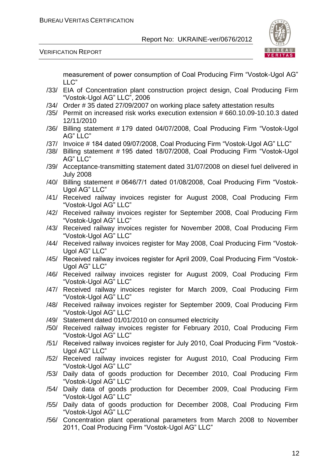

VERIFICATION REPORT

measurement of power consumption of Coal Producing Firm "Vostok-Ugol AG" LLC"

- /33/ EIA of Concentration plant construction project design, Coal Producing Firm "Vostok-Ugol AG" LLC", 2006
- /34/ Order # 35 dated 27/09/2007 on working place safety attestation results
- /35/ Permit on increased risk works execution extension # 660.10.09-10.10.3 dated 12/11/2010
- /36/ Billing statement # 179 dated 04/07/2008, Coal Producing Firm "Vostok-Ugol AG" LLC"
- /37/ Invoice # 184 dated 09/07/2008, Coal Producing Firm "Vostok-Ugol AG" LLC"
- /38/ Billing statement # 195 dated 18/07/2008, Coal Producing Firm "Vostok-Ugol AG" LLC"
- /39/ Acceptance-transmitting statement dated 31/07/2008 on diesel fuel delivered in July 2008
- /40/ Billing statement # 0646/7/1 dated 01/08/2008, Coal Producing Firm "Vostok-Ugol AG" LLC"
- /41/ Received railway invoices register for August 2008, Coal Producing Firm "Vostok-Ugol AG" LLC"
- /42/ Received railway invoices register for September 2008, Coal Producing Firm "Vostok-Ugol AG" LLC"
- /43/ Received railway invoices register for November 2008, Coal Producing Firm "Vostok-Ugol AG" LLC"
- /44/ Received railway invoices register for May 2008, Coal Producing Firm "Vostok-Ugol AG" LLC"
- /45/ Received railway invoices register for April 2009, Coal Producing Firm "Vostok-Ugol AG" LLC"
- /46/ Received railway invoices register for August 2009, Coal Producing Firm "Vostok-Ugol AG" LLC"
- /47/ Received railway invoices register for March 2009, Coal Producing Firm "Vostok-Ugol AG" LLC"
- /48/ Received railway invoices register for September 2009, Coal Producing Firm "Vostok-Ugol AG" LLC"
- /49/ Statement dated 01/01/2010 on consumed electricity
- /50/ Received railway invoices register for February 2010, Coal Producing Firm "Vostok-Ugol AG" LLC"
- /51/ Received railway invoices register for July 2010, Coal Producing Firm "Vostok-Ugol AG" LLC"
- /52/ Received railway invoices register for August 2010, Coal Producing Firm "Vostok-Ugol AG" LLC"
- /53/ Daily data of goods production for December 2010, Coal Producing Firm "Vostok-Ugol AG" LLC"
- /54/ Daily data of goods production for December 2009, Coal Producing Firm "Vostok-Ugol AG" LLC"
- /55/ Daily data of goods production for December 2008, Coal Producing Firm "Vostok-Ugol AG" LLC"
- /56/ Concentration plant operational parameters from March 2008 to November 2011, Coal Producing Firm "Vostok-Ugol AG" LLC"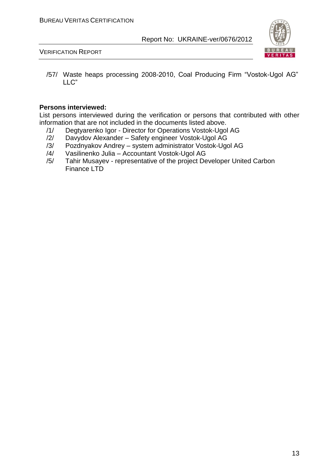

VERIFICATION REPORT

/57/ Waste heaps processing 2008-2010, Coal Producing Firm "Vostok-Ugol AG" LLC"

#### **Persons interviewed:**

List persons interviewed during the verification or persons that contributed with other information that are not included in the documents listed above.

- /1/ Degtyarenko Igor Director for Operations Vostok-Ugol AG<br>/2/ Davydov Alexander Safety engineer Vostok-Ugol AG
- Davydov Alexander Safety engineer Vostok-Ugol AG
- /3/ Pozdnyakov Andrey system administrator Vostok-Ugol AG
- /4/ Vasilinenko Julia Accountant Vostok-Ugol AG
- /5/ Tahir Musayev representative of the project Developer United Carbon Finance LTD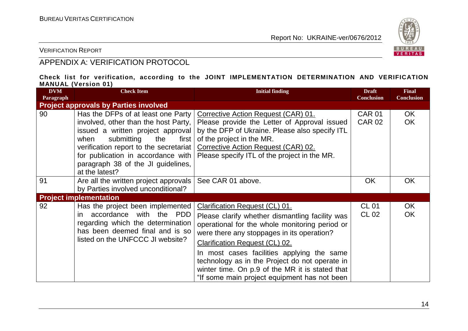

VERIFICATION REPORT

### APPENDIX A: VERIFICATION PROTOCOL

#### **Check list for verification, according to the JOINT IMPLEMENTATION DETERMINATION AND VERIFICATION MANUAL (Version 01)**

| <b>DVM</b><br>Paragraph | <b>Check Item</b>                                                                                                                                                                                                                                                                               | <b>Initial finding</b>                                                                                                                                                                                                                                                                                                                                                                                                        | <b>Draft</b><br><b>Conclusion</b> | <b>Final</b><br><b>Conclusion</b> |
|-------------------------|-------------------------------------------------------------------------------------------------------------------------------------------------------------------------------------------------------------------------------------------------------------------------------------------------|-------------------------------------------------------------------------------------------------------------------------------------------------------------------------------------------------------------------------------------------------------------------------------------------------------------------------------------------------------------------------------------------------------------------------------|-----------------------------------|-----------------------------------|
|                         | <b>Project approvals by Parties involved</b>                                                                                                                                                                                                                                                    |                                                                                                                                                                                                                                                                                                                                                                                                                               |                                   |                                   |
| 90                      | Has the DFPs of at least one Party<br>involved, other than the host Party,<br>issued a written project approval<br>submitting<br>when<br>the<br>first  <br>verification report to the secretariat<br>for publication in accordance with<br>paragraph 38 of the JI guidelines,<br>at the latest? | Corrective Action Request (CAR) 01.<br>Please provide the Letter of Approval issued<br>by the DFP of Ukraine. Please also specify ITL<br>of the project in the MR.<br>Corrective Action Request (CAR) 02.<br>Please specify ITL of the project in the MR.                                                                                                                                                                     | <b>CAR 01</b><br><b>CAR 02</b>    | OK.<br><b>OK</b>                  |
| 91                      | Are all the written project approvals<br>by Parties involved unconditional?                                                                                                                                                                                                                     | See CAR 01 above.                                                                                                                                                                                                                                                                                                                                                                                                             | <b>OK</b>                         | <b>OK</b>                         |
|                         | <b>Project implementation</b>                                                                                                                                                                                                                                                                   |                                                                                                                                                                                                                                                                                                                                                                                                                               |                                   |                                   |
| 92                      | Has the project been implemented<br>accordance with the PDD<br>in.<br>regarding which the determination<br>has been deemed final and is so<br>listed on the UNFCCC JI website?                                                                                                                  | Clarification Request (CL) 01.<br>Please clarify whether dismantling facility was<br>operational for the whole monitoring period or<br>were there any stoppages in its operation?<br><b>Clarification Request (CL) 02.</b><br>In most cases facilities applying the same<br>technology as in the Project do not operate in<br>winter time. On p.9 of the MR it is stated that<br>"If some main project equipment has not been | <b>CL 01</b><br>CL 02             | OK<br><b>OK</b>                   |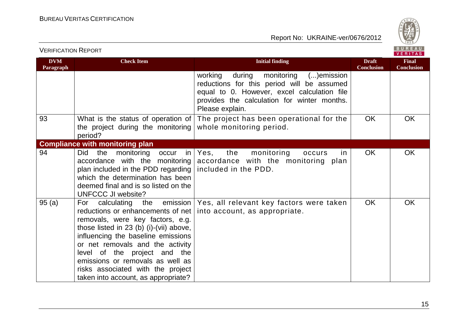

| <b>DVM</b><br>Paragraph | <b>Check Item</b>                                                                                                                                                                                                                                                                                                                                                                | <b>Initial finding</b>                                                                                                                                                                                       | <b>Draft</b><br><b>Conclusion</b> | <b>Final</b><br>Conclusion |
|-------------------------|----------------------------------------------------------------------------------------------------------------------------------------------------------------------------------------------------------------------------------------------------------------------------------------------------------------------------------------------------------------------------------|--------------------------------------------------------------------------------------------------------------------------------------------------------------------------------------------------------------|-----------------------------------|----------------------------|
|                         |                                                                                                                                                                                                                                                                                                                                                                                  | during<br>working<br>monitoring<br>()emission<br>reductions for this period will be assumed<br>equal to 0. However, excel calculation file<br>provides the calculation for winter months.<br>Please explain. |                                   |                            |
| 93                      | What is the status of operation of<br>the project during the monitoring<br>period?                                                                                                                                                                                                                                                                                               | The project has been operational for the<br>whole monitoring period.                                                                                                                                         | <b>OK</b>                         | <b>OK</b>                  |
|                         | <b>Compliance with monitoring plan</b>                                                                                                                                                                                                                                                                                                                                           |                                                                                                                                                                                                              |                                   |                            |
| 94                      | monitoring<br><b>Did</b><br>the<br>occur<br>in l<br>accordance with the monitoring<br>plan included in the PDD regarding $ $ included in the PDD.<br>which the determination has been<br>deemed final and is so listed on the<br><b>UNFCCC JI website?</b>                                                                                                                       | the<br>monitoring<br>Yes,<br>occurs<br>in.<br>accordance with the monitoring plan                                                                                                                            | <b>OK</b>                         | OK                         |
| 95(a)                   | the emission<br>calculating<br>For<br>reductions or enhancements of net<br>removals, were key factors, e.g.<br>those listed in 23 (b) (i)-(vii) above,<br>influencing the baseline emissions<br>or net removals and the activity<br>level of the project and the<br>emissions or removals as well as<br>risks associated with the project<br>taken into account, as appropriate? | Yes, all relevant key factors were taken<br>into account, as appropriate.                                                                                                                                    | <b>OK</b>                         | <b>OK</b>                  |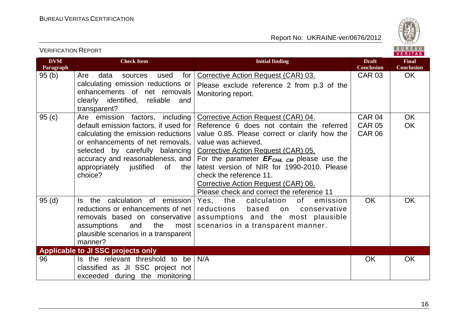

| <b>DVM</b><br>Paragraph | <b>Check Item</b>                               | <b>Initial finding</b>                                         | <b>Draft</b><br><b>Conclusion</b> | <b>Final</b><br><b>Conclusion</b> |
|-------------------------|-------------------------------------------------|----------------------------------------------------------------|-----------------------------------|-----------------------------------|
| 95(b)                   | Are<br>data<br>for<br>used<br>sources           | Corrective Action Request (CAR) 03.                            | <b>CAR 03</b>                     | <b>OK</b>                         |
|                         | calculating emission reductions or              | Please exclude reference 2 from p.3 of the                     |                                   |                                   |
|                         | enhancements of net removals                    | Monitoring report.                                             |                                   |                                   |
|                         | clearly identified, reliable<br>and             |                                                                |                                   |                                   |
| 95(c)                   | transparent?<br>Are emission factors, including | <b>Corrective Action Request (CAR) 04.</b>                     | CAR 04                            | <b>OK</b>                         |
|                         | default emission factors, if used for           | Reference 6 does not contain the referred                      | <b>CAR 05</b>                     | <b>OK</b>                         |
|                         | calculating the emission reductions             | value 0.85. Please correct or clarify how the                  | <b>CAR 06</b>                     |                                   |
|                         | or enhancements of net removals,                | value was achieved.                                            |                                   |                                   |
|                         | selected by carefully balancing                 | Corrective Action Request (CAR) 05.                            |                                   |                                   |
|                         | accuracy and reasonableness, and                | For the parameter $EF_{CH4, CM}$ please use the                |                                   |                                   |
|                         | appropriately justified<br>of<br>the            | latest version of NIR for 1990-2010. Please                    |                                   |                                   |
|                         | choice?                                         | check the reference 11.<br>Corrective Action Request (CAR) 06. |                                   |                                   |
|                         |                                                 | Please check and correct the reference 11                      |                                   |                                   |
| 95(d)                   | the calculation of emission<br>Is.              | Yes, the<br>calculation<br>of<br>emission                      | <b>OK</b>                         | <b>OK</b>                         |
|                         | reductions or enhancements of net               | reductions<br>based<br>on<br>conservative                      |                                   |                                   |
|                         | removals based on conservative                  | assumptions and the most plausible                             |                                   |                                   |
|                         | assumptions<br>the<br>and<br>most               | scenarios in a transparent manner.                             |                                   |                                   |
|                         | plausible scenarios in a transparent            |                                                                |                                   |                                   |
|                         | manner?                                         |                                                                |                                   |                                   |
|                         | Applicable to JI SSC projects only              |                                                                |                                   |                                   |
| 96                      | Is the relevant threshold to be                 | N/A                                                            | <b>OK</b>                         | <b>OK</b>                         |
|                         | classified as JI SSC project not                |                                                                |                                   |                                   |
|                         | exceeded during the monitoring                  |                                                                |                                   |                                   |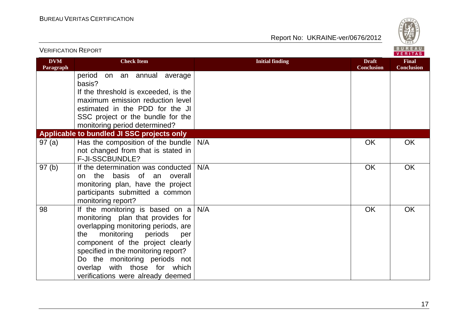

| <u>VERIFICATION KEPORT</u> |                                                                          |                        |                                   | <b>VERITAS</b>                    |
|----------------------------|--------------------------------------------------------------------------|------------------------|-----------------------------------|-----------------------------------|
| <b>DVM</b><br>Paragraph    | <b>Check Item</b>                                                        | <b>Initial finding</b> | <b>Draft</b><br><b>Conclusion</b> | <b>Final</b><br><b>Conclusion</b> |
|                            | period<br>on an annual average<br>basis?                                 |                        |                                   |                                   |
|                            | If the threshold is exceeded, is the<br>maximum emission reduction level |                        |                                   |                                   |
|                            | estimated in the PDD for the JI                                          |                        |                                   |                                   |
|                            | SSC project or the bundle for the                                        |                        |                                   |                                   |
|                            | monitoring period determined?                                            |                        |                                   |                                   |
|                            | Applicable to bundled JI SSC projects only                               |                        |                                   |                                   |
| 97(a)                      | Has the composition of the bundle $N/A$                                  |                        | <b>OK</b>                         | <b>OK</b>                         |
|                            | not changed from that is stated in                                       |                        |                                   |                                   |
|                            | F-JI-SSCBUNDLE?                                                          |                        |                                   |                                   |
| 97(b)                      | If the determination was conducted                                       | N/A                    | <b>OK</b>                         | <b>OK</b>                         |
|                            | the basis of an overall<br>on<br>monitoring plan, have the project       |                        |                                   |                                   |
|                            | participants submitted a common                                          |                        |                                   |                                   |
|                            | monitoring report?                                                       |                        |                                   |                                   |
| 98                         | If the monitoring is based on $a$                                        | N/A                    | OK                                | <b>OK</b>                         |
|                            | monitoring plan that provides for                                        |                        |                                   |                                   |
|                            | overlapping monitoring periods, are                                      |                        |                                   |                                   |
|                            | monitoring<br>periods<br>the<br>per                                      |                        |                                   |                                   |
|                            | component of the project clearly                                         |                        |                                   |                                   |
|                            | specified in the monitoring report?<br>Do the monitoring periods not     |                        |                                   |                                   |
|                            | overlap with those for which                                             |                        |                                   |                                   |
|                            | verifications were already deemed                                        |                        |                                   |                                   |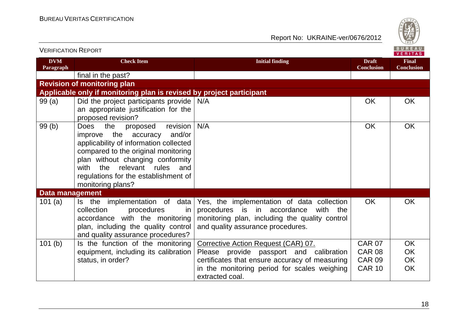

| VERIFICATION INEPURT    |                                                                                                                                                                                                                                                                                                        |                                                                                                                                                                              |                                   | VERITAS                           |
|-------------------------|--------------------------------------------------------------------------------------------------------------------------------------------------------------------------------------------------------------------------------------------------------------------------------------------------------|------------------------------------------------------------------------------------------------------------------------------------------------------------------------------|-----------------------------------|-----------------------------------|
| <b>DVM</b><br>Paragraph | <b>Check Item</b>                                                                                                                                                                                                                                                                                      | <b>Initial finding</b>                                                                                                                                                       | <b>Draft</b><br><b>Conclusion</b> | <b>Final</b><br><b>Conclusion</b> |
|                         | final in the past?                                                                                                                                                                                                                                                                                     |                                                                                                                                                                              |                                   |                                   |
|                         | <b>Revision of monitoring plan</b>                                                                                                                                                                                                                                                                     |                                                                                                                                                                              |                                   |                                   |
|                         | Applicable only if monitoring plan is revised by project participant                                                                                                                                                                                                                                   |                                                                                                                                                                              |                                   |                                   |
| 99(a)                   | Did the project participants provide $N/A$<br>an appropriate justification for the<br>proposed revision?                                                                                                                                                                                               |                                                                                                                                                                              | <b>OK</b>                         | <b>OK</b>                         |
| 99(b)                   | the<br>revision<br><b>Does</b><br>proposed<br>improve the accuracy<br>and/or<br>applicability of information collected<br>compared to the original monitoring<br>plan without changing conformity<br>relevant rules<br>the<br>with<br>and<br>regulations for the establishment of<br>monitoring plans? | N/A                                                                                                                                                                          | <b>OK</b>                         | <b>OK</b>                         |
| <b>Data management</b>  |                                                                                                                                                                                                                                                                                                        |                                                                                                                                                                              |                                   |                                   |
| 101 $(a)$               | data<br>Is the implementation of<br>collection<br>procedures<br><i>in</i><br>accordance with the monitoring<br>plan, including the quality control<br>and quality assurance procedures?                                                                                                                | Yes, the implementation of data collection<br>procedures is in accordance<br>with the<br>monitoring plan, including the quality control<br>and quality assurance procedures. | OK                                | OK                                |
| 101 <sub>(b)</sub>      | Is the function of the monitoring                                                                                                                                                                                                                                                                      | Corrective Action Request (CAR) 07.                                                                                                                                          | <b>CAR 07</b>                     | OK                                |
|                         | equipment, including its calibration                                                                                                                                                                                                                                                                   | Please provide passport and calibration                                                                                                                                      | <b>CAR 08</b>                     | OK                                |
|                         | status, in order?                                                                                                                                                                                                                                                                                      | certificates that ensure accuracy of measuring                                                                                                                               | <b>CAR 09</b>                     | OK                                |
|                         |                                                                                                                                                                                                                                                                                                        | in the monitoring period for scales weighing<br>extracted coal.                                                                                                              | <b>CAR 10</b>                     | <b>OK</b>                         |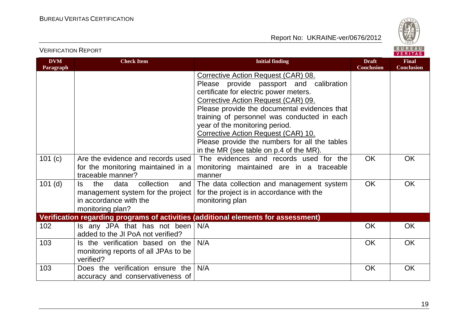



| <b>DVM</b><br>Paragraph | <b>Check Item</b>                                                                                                          | <b>Initial finding</b>                                                                                                                                                                                                                                                                                                                                                                                                              | <b>Draft</b><br><b>Conclusion</b> | <b>Final</b><br><b>Conclusion</b> |
|-------------------------|----------------------------------------------------------------------------------------------------------------------------|-------------------------------------------------------------------------------------------------------------------------------------------------------------------------------------------------------------------------------------------------------------------------------------------------------------------------------------------------------------------------------------------------------------------------------------|-----------------------------------|-----------------------------------|
|                         |                                                                                                                            | Corrective Action Request (CAR) 08.<br>Please provide passport and calibration<br>certificate for electric power meters.<br>Corrective Action Request (CAR) 09.<br>Please provide the documental evidences that<br>training of personnel was conducted in each<br>year of the monitoring period.<br>Corrective Action Request (CAR) 10.<br>Please provide the numbers for all the tables<br>in the MR (see table on p.4 of the MR). |                                   |                                   |
| 101 (c)                 | Are the evidence and records used<br>for the monitoring maintained in a<br>traceable manner?                               | The evidences and records used for the<br>monitoring maintained are in a traceable<br>manner                                                                                                                                                                                                                                                                                                                                        | <b>OK</b>                         | <b>OK</b>                         |
| $101$ (d)               | the<br>data<br>collection<br>Is.<br>and<br>management system for the project<br>in accordance with the<br>monitoring plan? | The data collection and management system<br>for the project is in accordance with the<br>monitoring plan                                                                                                                                                                                                                                                                                                                           | <b>OK</b>                         | <b>OK</b>                         |
|                         |                                                                                                                            | Verification regarding programs of activities (additional elements for assessment)                                                                                                                                                                                                                                                                                                                                                  |                                   |                                   |
| 102                     | Is any JPA that has not been<br>added to the JI PoA not verified?                                                          | N/A                                                                                                                                                                                                                                                                                                                                                                                                                                 | <b>OK</b>                         | <b>OK</b>                         |
| 103                     | Is the verification based on the<br>monitoring reports of all JPAs to be<br>verified?                                      | N/A                                                                                                                                                                                                                                                                                                                                                                                                                                 | <b>OK</b>                         | <b>OK</b>                         |
| 103                     | Does the verification ensure the<br>accuracy and conservativeness of                                                       | N/A                                                                                                                                                                                                                                                                                                                                                                                                                                 | <b>OK</b>                         | <b>OK</b>                         |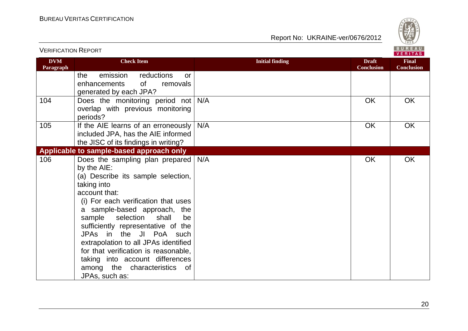

#### Report No: UKRAINE-ver/0676/2012

| <b>DVM</b><br>Paragraph | <b>Check Item</b>                                                                                                                                                                                                                                                                                                                                                                                                                                                          | <b>Initial finding</b> | <b>Draft</b><br><b>Conclusion</b> | <b>Final</b><br><b>Conclusion</b> |
|-------------------------|----------------------------------------------------------------------------------------------------------------------------------------------------------------------------------------------------------------------------------------------------------------------------------------------------------------------------------------------------------------------------------------------------------------------------------------------------------------------------|------------------------|-----------------------------------|-----------------------------------|
|                         | the<br>emission<br>reductions<br><b>or</b><br>0f<br>enhancements<br>removals<br>generated by each JPA?                                                                                                                                                                                                                                                                                                                                                                     |                        |                                   |                                   |
| 104                     | Does the monitoring period not<br>overlap with previous monitoring<br>periods?                                                                                                                                                                                                                                                                                                                                                                                             | N/A                    | OK                                | <b>OK</b>                         |
| 105                     | If the AIE learns of an erroneously<br>included JPA, has the AIE informed<br>the JISC of its findings in writing?                                                                                                                                                                                                                                                                                                                                                          | N/A                    | <b>OK</b>                         | OK                                |
|                         | Applicable to sample-based approach only                                                                                                                                                                                                                                                                                                                                                                                                                                   |                        |                                   |                                   |
| 106                     | Does the sampling plan prepared<br>by the AIE:<br>(a) Describe its sample selection,<br>taking into<br>account that:<br>(i) For each verification that uses<br>a sample-based approach,<br>the<br>sample selection<br>shall<br>be<br>sufficiently representative of the<br>JPAs in the JI PoA such<br>extrapolation to all JPAs identified<br>for that verification is reasonable,<br>taking into account differences<br>among the characteristics<br>of<br>JPAs, such as: | N/A                    | OK                                | <b>OK</b>                         |

20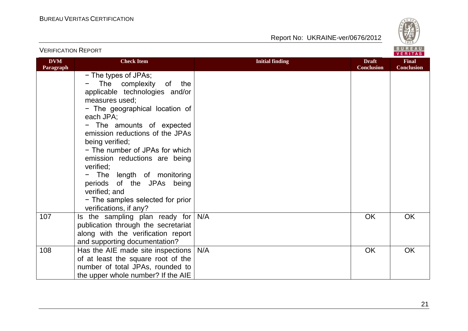

|                         |                                                                                                                                                                                                                                                                                                                                                                                                                                                                                        |                        |                                   | <b>VERIIAS</b>                    |
|-------------------------|----------------------------------------------------------------------------------------------------------------------------------------------------------------------------------------------------------------------------------------------------------------------------------------------------------------------------------------------------------------------------------------------------------------------------------------------------------------------------------------|------------------------|-----------------------------------|-----------------------------------|
| <b>DVM</b><br>Paragraph | <b>Check Item</b>                                                                                                                                                                                                                                                                                                                                                                                                                                                                      | <b>Initial finding</b> | <b>Draft</b><br><b>Conclusion</b> | <b>Final</b><br><b>Conclusion</b> |
|                         | - The types of JPAs;<br>The complexity<br>of<br>the<br>applicable technologies and/or<br>measures used;<br>- The geographical location of<br>each JPA;<br>- The amounts of expected<br>emission reductions of the JPAs<br>being verified;<br>- The number of JPAs for which<br>emission reductions are being<br>verified;<br>The length of monitoring<br>$\qquad \qquad -$<br>periods of the JPAs being<br>verified; and<br>- The samples selected for prior<br>verifications, if any? |                        |                                   |                                   |
| 107                     | Is the sampling plan ready for<br>publication through the secretariat<br>along with the verification report<br>and supporting documentation?                                                                                                                                                                                                                                                                                                                                           | N/A                    | OK                                | <b>OK</b>                         |
| 108                     | Has the AIE made site inspections<br>of at least the square root of the<br>number of total JPAs, rounded to<br>the upper whole number? If the AIE                                                                                                                                                                                                                                                                                                                                      | N/A                    | OK                                | OK                                |

#### VERIFICATION REPORT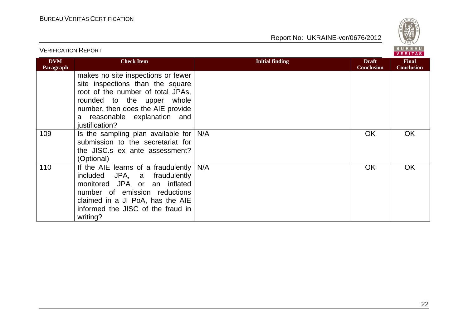

| <b>VERIFICATION REPORT</b> |                                                                                                                                                                                                                                     |                        | BUREAU<br><b>VERITAS</b>          |                                   |
|----------------------------|-------------------------------------------------------------------------------------------------------------------------------------------------------------------------------------------------------------------------------------|------------------------|-----------------------------------|-----------------------------------|
| <b>DVM</b><br>Paragraph    | <b>Check Item</b>                                                                                                                                                                                                                   | <b>Initial finding</b> | <b>Draft</b><br><b>Conclusion</b> | <b>Final</b><br><b>Conclusion</b> |
|                            | makes no site inspections or fewer<br>site inspections than the square<br>root of the number of total JPAs,<br>whole<br>rounded to the upper<br>number, then does the AIE provide<br>a reasonable explanation and<br>justification? |                        |                                   |                                   |
| 109                        | Is the sampling plan available for<br>submission to the secretariat for<br>the JISC.s ex ante assessment?<br>(Optional)                                                                                                             | N/A                    | <b>OK</b>                         | <b>OK</b>                         |
| 110                        | If the AIE learns of a fraudulently<br>included JPA, a fraudulently<br>monitored JPA or an inflated<br>number of emission reductions<br>claimed in a JI PoA, has the AIE<br>informed the JISC of the fraud in<br>writing?           | N/A                    | <b>OK</b>                         | <b>OK</b>                         |

22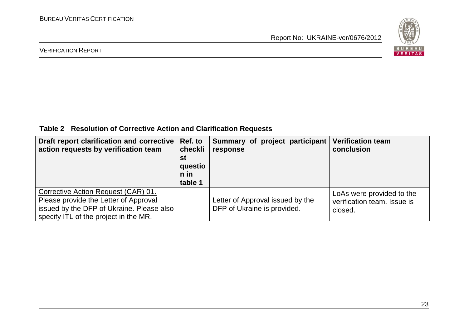

#### VERIFICATION REPORT

**Table 2 Resolution of Corrective Action and Clarification Requests**

| Draft report clarification and corrective<br>action requests by verification team                                                                                  | Ref. to<br>checkli<br>st<br>questio<br>n in<br>table 1 | Summary of project participant<br>response                      | <b>Verification team</b><br>conclusion                              |
|--------------------------------------------------------------------------------------------------------------------------------------------------------------------|--------------------------------------------------------|-----------------------------------------------------------------|---------------------------------------------------------------------|
| Corrective Action Request (CAR) 01.<br>Please provide the Letter of Approval<br>issued by the DFP of Ukraine. Please also<br>specify ITL of the project in the MR. |                                                        | Letter of Approval issued by the<br>DFP of Ukraine is provided. | LoAs were provided to the<br>verification team. Issue is<br>closed. |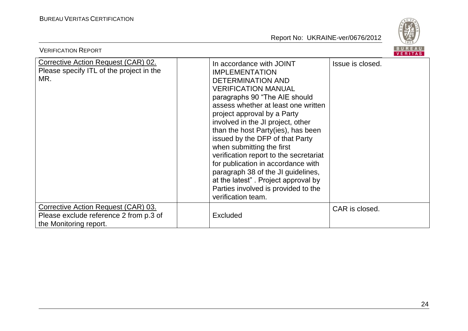

| <b>VERIFICATION REPORT</b>                                                                              |                                                                                                                                                                                                                                                                                                                                                                                                                                                                                                                                                                                         | BUREAU<br>VERITAS |
|---------------------------------------------------------------------------------------------------------|-----------------------------------------------------------------------------------------------------------------------------------------------------------------------------------------------------------------------------------------------------------------------------------------------------------------------------------------------------------------------------------------------------------------------------------------------------------------------------------------------------------------------------------------------------------------------------------------|-------------------|
| Corrective Action Request (CAR) 02.<br>Please specify ITL of the project in the<br>MR.                  | In accordance with JOINT<br><b>IMPLEMENTATION</b><br><b>DETERMINATION AND</b><br><b>VERIFICATION MANUAL</b><br>paragraphs 90 "The AIE should<br>assess whether at least one written<br>project approval by a Party<br>involved in the JI project, other<br>than the host Party(ies), has been<br>issued by the DFP of that Party<br>when submitting the first<br>verification report to the secretariat<br>for publication in accordance with<br>paragraph 38 of the JI guidelines,<br>at the latest". Project approval by<br>Parties involved is provided to the<br>verification team. | Issue is closed.  |
| Corrective Action Request (CAR) 03.<br>Please exclude reference 2 from p.3 of<br>the Monitoring report. | Excluded                                                                                                                                                                                                                                                                                                                                                                                                                                                                                                                                                                                | CAR is closed.    |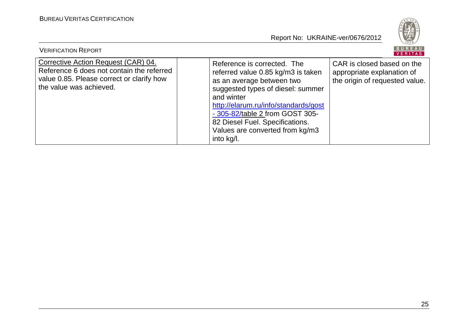

| <b>VERIFICATION REPORT</b>                                                                                                                               |                                                                                                                                                                                                                                                                                                                  | BUREAU<br>VERITAS                                                                          |
|----------------------------------------------------------------------------------------------------------------------------------------------------------|------------------------------------------------------------------------------------------------------------------------------------------------------------------------------------------------------------------------------------------------------------------------------------------------------------------|--------------------------------------------------------------------------------------------|
| Corrective Action Request (CAR) 04.<br>Reference 6 does not contain the referred<br>value 0.85. Please correct or clarify how<br>the value was achieved. | Reference is corrected. The<br>referred value 0.85 kg/m3 is taken<br>as an average between two<br>suggested types of diesel: summer<br>and winter<br>http://elarum.ru/info/standards/gost<br>- 305-82/table 2 from GOST 305-<br>82 Diesel Fuel. Specifications.<br>Values are converted from kg/m3<br>into kg/l. | CAR is closed based on the<br>appropriate explanation of<br>the origin of requested value. |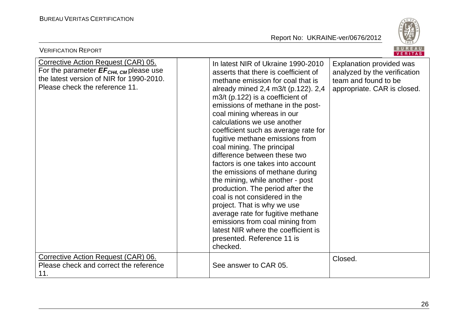

| <b>VERIFICATION REPORT</b>                                                                                                                                                     |                                                                                                                                                                                                                                                                                                                                                                                                                                                                                                                                                                                                                                                                                                                                                                                                                  | BUREAU<br><b>VERITAS</b>                                                                                        |
|--------------------------------------------------------------------------------------------------------------------------------------------------------------------------------|------------------------------------------------------------------------------------------------------------------------------------------------------------------------------------------------------------------------------------------------------------------------------------------------------------------------------------------------------------------------------------------------------------------------------------------------------------------------------------------------------------------------------------------------------------------------------------------------------------------------------------------------------------------------------------------------------------------------------------------------------------------------------------------------------------------|-----------------------------------------------------------------------------------------------------------------|
| <b>Corrective Action Request (CAR) 05.</b><br>For the parameter $EF_{CH4, \text{CM}}$ please use<br>the latest version of NIR for 1990-2010.<br>Please check the reference 11. | In latest NIR of Ukraine 1990-2010<br>asserts that there is coefficient of<br>methane emission for coal that is<br>already mined 2,4 m3/t (p.122). 2,4<br>$m3/t$ (p.122) is a coefficient of<br>emissions of methane in the post-<br>coal mining whereas in our<br>calculations we use another<br>coefficient such as average rate for<br>fugitive methane emissions from<br>coal mining. The principal<br>difference between these two<br>factors is one takes into account<br>the emissions of methane during<br>the mining, while another - post<br>production. The period after the<br>coal is not considered in the<br>project. That is why we use<br>average rate for fugitive methane<br>emissions from coal mining from<br>latest NIR where the coefficient is<br>presented. Reference 11 is<br>checked. | Explanation provided was<br>analyzed by the verification<br>team and found to be<br>appropriate. CAR is closed. |
| Corrective Action Request (CAR) 06.<br>Please check and correct the reference<br>11.                                                                                           | See answer to CAR 05.                                                                                                                                                                                                                                                                                                                                                                                                                                                                                                                                                                                                                                                                                                                                                                                            | Closed.                                                                                                         |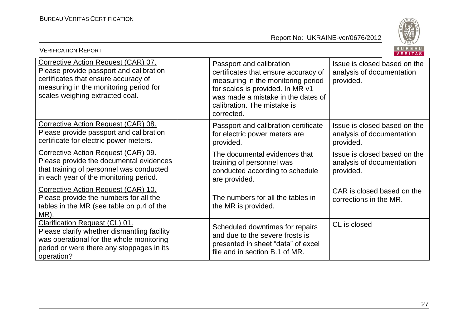

| <b>VERIFICATION REPORT</b>                                                                                                                                                                          |                                                                                                                                                                                                                               | <b>BUREAU</b><br>VERITAS                                               |
|-----------------------------------------------------------------------------------------------------------------------------------------------------------------------------------------------------|-------------------------------------------------------------------------------------------------------------------------------------------------------------------------------------------------------------------------------|------------------------------------------------------------------------|
| Corrective Action Request (CAR) 07.<br>Please provide passport and calibration<br>certificates that ensure accuracy of<br>measuring in the monitoring period for<br>scales weighing extracted coal. | Passport and calibration<br>certificates that ensure accuracy of<br>measuring in the monitoring period<br>for scales is provided. In MR v1<br>was made a mistake in the dates of<br>calibration. The mistake is<br>corrected. | Issue is closed based on the<br>analysis of documentation<br>provided. |
| Corrective Action Request (CAR) 08.<br>Please provide passport and calibration<br>certificate for electric power meters.                                                                            | Passport and calibration certificate<br>for electric power meters are<br>provided.                                                                                                                                            | Issue is closed based on the<br>analysis of documentation<br>provided. |
| Corrective Action Request (CAR) 09.<br>Please provide the documental evidences<br>that training of personnel was conducted<br>in each year of the monitoring period.                                | The documental evidences that<br>training of personnel was<br>conducted according to schedule<br>are provided.                                                                                                                | Issue is closed based on the<br>analysis of documentation<br>provided. |
| Corrective Action Request (CAR) 10.<br>Please provide the numbers for all the<br>tables in the MR (see table on p.4 of the<br>MR).                                                                  | The numbers for all the tables in<br>the MR is provided.                                                                                                                                                                      | CAR is closed based on the<br>corrections in the MR.                   |
| <b>Clarification Request (CL) 01.</b><br>Please clarify whether dismantling facility<br>was operational for the whole monitoring<br>period or were there any stoppages in its<br>operation?         | Scheduled downtimes for repairs<br>and due to the severe frosts is<br>presented in sheet "data" of excel<br>file and in section B.1 of MR.                                                                                    | CL is closed                                                           |